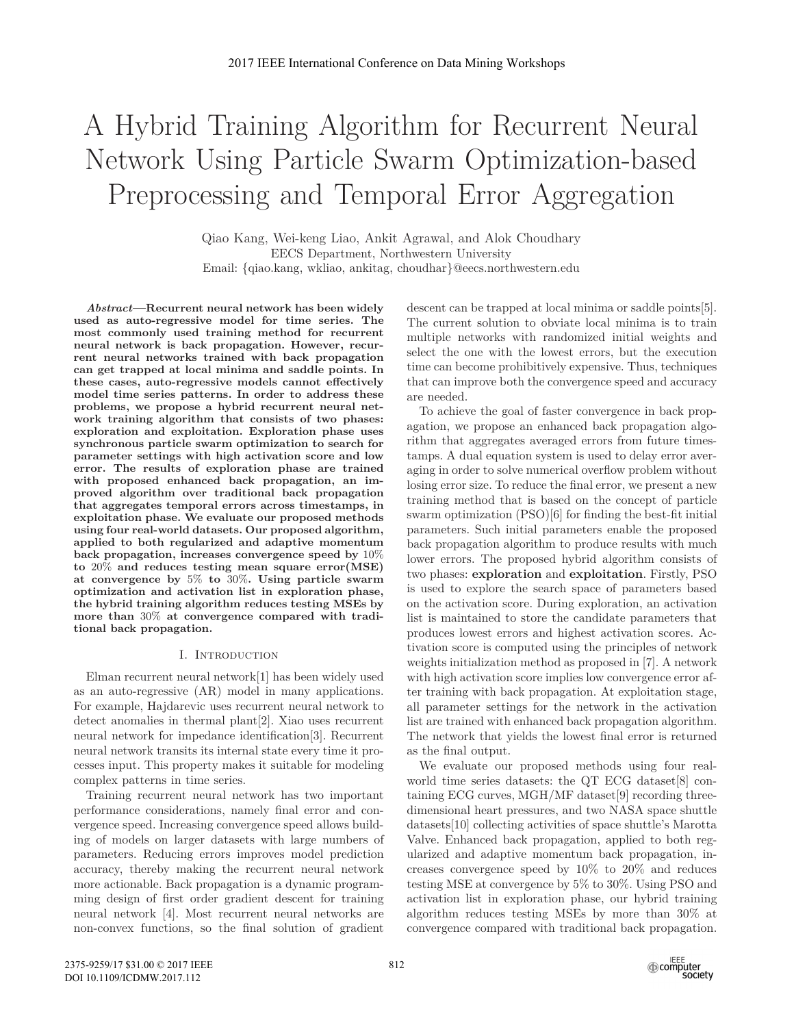# A Hybrid Training Algorithm for Recurrent Neural Network Using Particle Swarm Optimization-based Preprocessing and Temporal Error Aggregation

Qiao Kang, Wei-keng Liao, Ankit Agrawal, and Alok Choudhary EECS Department, Northwestern University Email: {qiao.kang, wkliao, ankitag, choudhar}@eecs.northwestern.edu

*Abstract***—Recurrent neural network has been widely used as auto-regressive model for time series. The most commonly used training method for recurrent neural network is back propagation. However, recurrent neural networks trained with back propagation can get trapped at local minima and saddle points. In these cases, auto-regressive models cannot effectively model time series patterns. In order to address these problems, we propose a hybrid recurrent neural network training algorithm that consists of two phases: exploration and exploitation. Exploration phase uses synchronous particle swarm optimization to search for parameter settings with high activation score and low error. The results of exploration phase are trained with proposed enhanced back propagation, an improved algorithm over traditional back propagation that aggregates temporal errors across timestamps, in exploitation phase. We evaluate our proposed methods using four real-world datasets. Our proposed algorithm, applied to both regularized and adaptive momentum back propagation, increases convergence speed by** 10% **to** 20% **and reduces testing mean square error(MSE) at convergence by** 5% **to** 30%**. Using particle swarm optimization and activation list in exploration phase, the hybrid training algorithm reduces testing MSEs by more than** 30% **at convergence compared with traditional back propagation.**

## I. INTRODUCTION

Elman recurrent neural network[1] has been widely used as an auto-regressive (AR) model in many applications. For example, Hajdarevic uses recurrent neural network to detect anomalies in thermal plant[2]. Xiao uses recurrent neural network for impedance identification[3]. Recurrent neural network transits its internal state every time it processes input. This property makes it suitable for modeling complex patterns in time series.

Training recurrent neural network has two important performance considerations, namely final error and convergence speed. Increasing convergence speed allows building of models on larger datasets with large numbers of parameters. Reducing errors improves model prediction accuracy, thereby making the recurrent neural network more actionable. Back propagation is a dynamic programming design of first order gradient descent for training neural network [4]. Most recurrent neural networks are non-convex functions, so the final solution of gradient

descent can be trapped at local minima or saddle points[5]. The current solution to obviate local minima is to train multiple networks with randomized initial weights and select the one with the lowest errors, but the execution time can become prohibitively expensive. Thus, techniques that can improve both the convergence speed and accuracy are needed.

To achieve the goal of faster convergence in back propagation, we propose an enhanced back propagation algorithm that aggregates averaged errors from future timestamps. A dual equation system is used to delay error averaging in order to solve numerical overflow problem without losing error size. To reduce the final error, we present a new training method that is based on the concept of particle swarm optimization (PSO)[6] for finding the best-fit initial parameters. Such initial parameters enable the proposed back propagation algorithm to produce results with much lower errors. The proposed hybrid algorithm consists of two phases: **exploration** and **exploitation**. Firstly, PSO is used to explore the search space of parameters based on the activation score. During exploration, an activation list is maintained to store the candidate parameters that produces lowest errors and highest activation scores. Activation score is computed using the principles of network weights initialization method as proposed in [7]. A network with high activation score implies low convergence error after training with back propagation. At exploitation stage, all parameter settings for the network in the activation list are trained with enhanced back propagation algorithm. The network that yields the lowest final error is returned as the final output.

We evaluate our proposed methods using four realworld time series datasets: the QT ECG dataset[8] containing ECG curves, MGH/MF dataset[9] recording threedimensional heart pressures, and two NASA space shuttle datasets[10] collecting activities of space shuttle's Marotta Valve. Enhanced back propagation, applied to both regularized and adaptive momentum back propagation, increases convergence speed by 10% to 20% and reduces testing MSE at convergence by 5% to 30%. Using PSO and activation list in exploration phase, our hybrid training algorithm reduces testing MSEs by more than 30% at convergence compared with traditional back propagation.

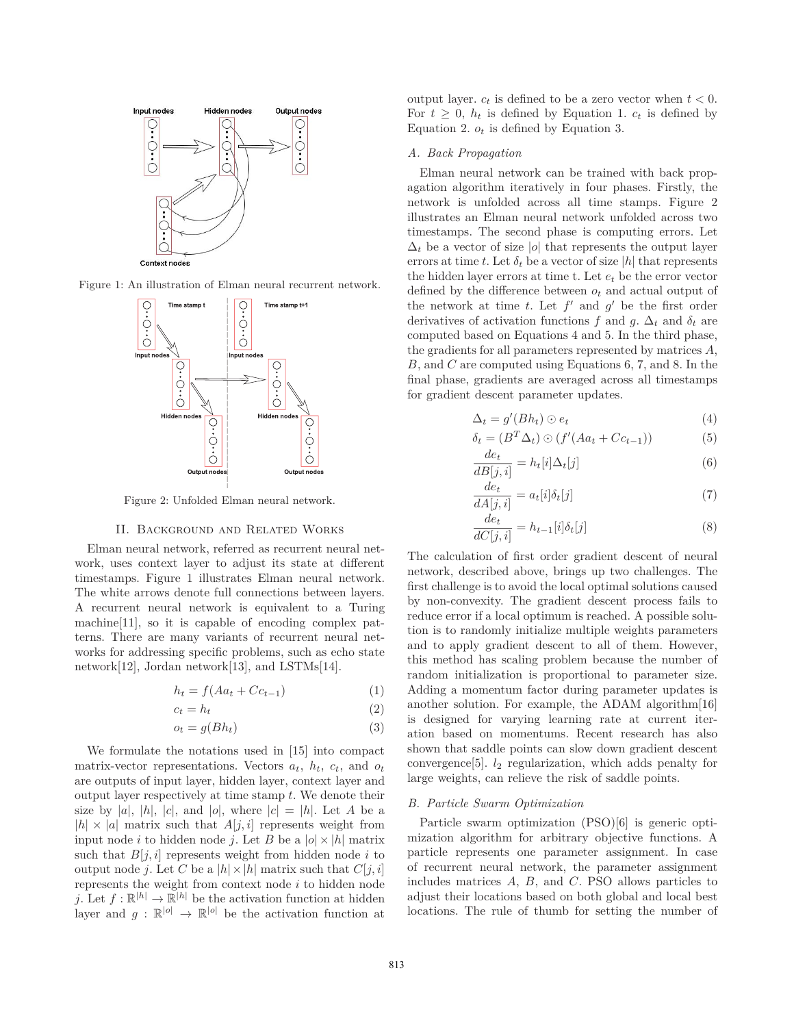





Figure 2: Unfolded Elman neural network.

#### II. Background and Related Works

Elman neural network, referred as recurrent neural network, uses context layer to adjust its state at different timestamps. Figure 1 illustrates Elman neural network. The white arrows denote full connections between layers. A recurrent neural network is equivalent to a Turing machine[11], so it is capable of encoding complex patterns. There are many variants of recurrent neural networks for addressing specific problems, such as echo state network[12], Jordan network[13], and LSTMs[14].

$$
h_t = f(Aa_t + Cc_{t-1})
$$
\n<sup>(1)</sup>

$$
c_t = h_t \tag{2}
$$

$$
o_t = g(Bh_t) \tag{3}
$$

We formulate the notations used in [15] into compact matrix-vector representations. Vectors  $a_t$ ,  $h_t$ ,  $c_t$ , and  $o_t$ are outputs of input layer, hidden layer, context layer and output layer respectively at time stamp *t*. We denote their size by  $|a|, |h|, |c|$ , and  $|o|$ , where  $|c| = |h|$ . Let *A* be a  $|h| \times |a|$  matrix such that  $A[j, i]$  represents weight from input node *i* to hidden node *j*. Let *B* be a  $|o| \times |h|$  matrix such that  $B[j, i]$  represents weight from hidden node *i* to output node *j*. Let *C* be a  $|h| \times|h|$  matrix such that  $C[j, i]$ represents the weight from context node *i* to hidden node *j*. Let  $f: \mathbb{R}^{|h|} \to \mathbb{R}^{|h|}$  be the activation function at hidden layer and  $g : \mathbb{R}^{|o|} \to \mathbb{R}^{|o|}$  be the activation function at

output layer.  $c_t$  is defined to be a zero vector when  $t < 0$ . For  $t \geq 0$ ,  $h_t$  is defined by Equation 1.  $c_t$  is defined by Equation 2.  $o_t$  is defined by Equation 3.

## *A. Back Propagation*

Elman neural network can be trained with back propagation algorithm iteratively in four phases. Firstly, the network is unfolded across all time stamps. Figure 2 illustrates an Elman neural network unfolded across two timestamps. The second phase is computing errors. Let  $\Delta_t$  be a vector of size |o| that represents the output layer errors at time *t*. Let  $\delta_t$  be a vector of size  $|h|$  that represents the hidden layer errors at time t. Let  $e_t$  be the error vector defined by the difference between *o<sup>t</sup>* and actual output of the network at time  $t$ . Let  $f'$  and  $g'$  be the first order derivatives of activation functions *f* and *g*.  $\Delta_t$  and  $\delta_t$  are computed based on Equations 4 and 5. In the third phase, the gradients for all parameters represented by matrices *A*, *B*, and *C* are computed using Equations 6, 7, and 8. In the final phase, gradients are averaged across all timestamps for gradient descent parameter updates.

$$
\Delta_t = g'(Bh_t) \odot e_t \tag{4}
$$

$$
\delta_t = (B^T \Delta_t) \odot (f'(Aa_t + Cc_{t-1})) \tag{5}
$$

$$
\frac{de_t}{dB[j,i]} = h_t[i] \Delta_t[j] \tag{6}
$$

$$
\frac{de_t}{dA[j,i]} = a_t[i]\delta_t[j] \tag{7}
$$

$$
\frac{de_t}{dC[j,i]} = h_{t-1}[i]\delta_t[j] \tag{8}
$$

The calculation of first order gradient descent of neural network, described above, brings up two challenges. The first challenge is to avoid the local optimal solutions caused by non-convexity. The gradient descent process fails to reduce error if a local optimum is reached. A possible solution is to randomly initialize multiple weights parameters and to apply gradient descent to all of them. However, this method has scaling problem because the number of random initialization is proportional to parameter size. Adding a momentum factor during parameter updates is another solution. For example, the ADAM algorithm[16] is designed for varying learning rate at current iteration based on momentums. Recent research has also shown that saddle points can slow down gradient descent convergence[5]. *l*<sup>2</sup> regularization, which adds penalty for large weights, can relieve the risk of saddle points.

#### *B. Particle Swarm Optimization*

Particle swarm optimization (PSO)[6] is generic optimization algorithm for arbitrary objective functions. A particle represents one parameter assignment. In case of recurrent neural network, the parameter assignment includes matrices *A*, *B*, and *C*. PSO allows particles to adjust their locations based on both global and local best locations. The rule of thumb for setting the number of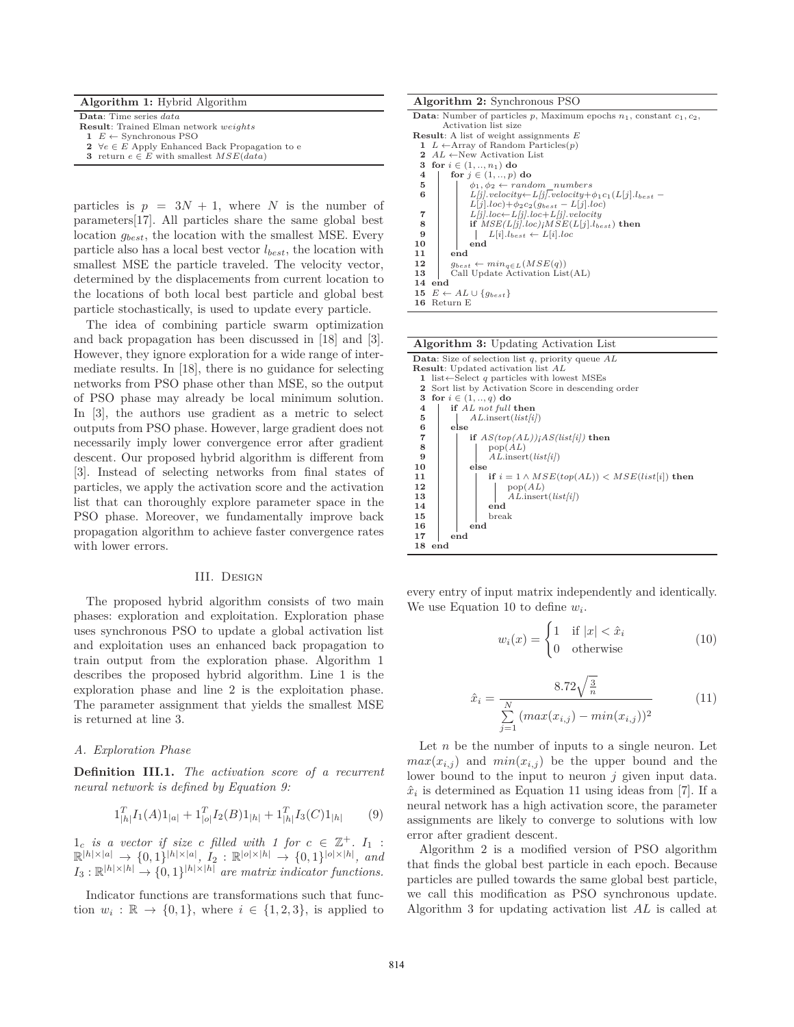| <b>Algorithm 1:</b> Hybrid Algorithm                     |
|----------------------------------------------------------|
| Data: Time series data                                   |
| <b>Result:</b> Trained Elman network <i>weights</i>      |
| 1 $E \leftarrow$ Synchronous PSO                         |
| 2 $\forall e \in E$ Apply Enhanced Back Propagation to e |
| <b>3</b> return $e \in E$ with smallest $MSE(data)$      |
|                                                          |

particles is  $p = 3N + 1$ , where *N* is the number of parameters[17]. All particles share the same global best location *gbest*, the location with the smallest MSE. Every particle also has a local best vector *lbest*, the location with smallest MSE the particle traveled. The velocity vector, determined by the displacements from current location to the locations of both local best particle and global best particle stochastically, is used to update every particle.

The idea of combining particle swarm optimization and back propagation has been discussed in [18] and [3]. However, they ignore exploration for a wide range of intermediate results. In [18], there is no guidance for selecting networks from PSO phase other than MSE, so the output of PSO phase may already be local minimum solution. In [3], the authors use gradient as a metric to select outputs from PSO phase. However, large gradient does not necessarily imply lower convergence error after gradient descent. Our proposed hybrid algorithm is different from [3]. Instead of selecting networks from final states of particles, we apply the activation score and the activation list that can thoroughly explore parameter space in the PSO phase. Moreover, we fundamentally improve back propagation algorithm to achieve faster convergence rates with lower errors.

## III. Design

The proposed hybrid algorithm consists of two main phases: exploration and exploitation. Exploration phase uses synchronous PSO to update a global activation list and exploitation uses an enhanced back propagation to train output from the exploration phase. Algorithm 1 describes the proposed hybrid algorithm. Line 1 is the exploration phase and line 2 is the exploitation phase. The parameter assignment that yields the smallest MSE is returned at line 3.

## *A. Exploration Phase*

**Definition III.1.** *The activation score of a recurrent neural network is defined by Equation 9:*

$$
1_{|h|}^T I_1(A)1_{|a|} + 1_{|o|}^T I_2(B)1_{|h|} + 1_{|h|}^T I_3(C)1_{|h|}
$$
 (9)

 $1_c$  *is a vector if size c filled with 1 for*  $c \in \mathbb{Z}^+$ *.*  $I_1$  :  $\mathbb{R}^{|h| \times |a|} \to \{0,1\}^{|h| \times |a|}, I_2 : \mathbb{R}^{|o| \times |h|} \to \{0,1\}^{|o| \times |h|}, \text{ and}$  $I_3 : \mathbb{R}^{|h| \times |h|} \rightarrow \{0,1\}^{|h| \times |h|}$  *are matrix indicator functions.* 

Indicator functions are transformations such that function  $w_i : \mathbb{R} \to \{0,1\}$ , where  $i \in \{1,2,3\}$ , is applied to

|                                                                                     | <b>Algorithm 2:</b> Synchronous PSO                                               |  |  |  |
|-------------------------------------------------------------------------------------|-----------------------------------------------------------------------------------|--|--|--|
| <b>Data:</b> Number of particles p, Maximum epochs $n_1$ , constant $c_1$ , $c_2$ , |                                                                                   |  |  |  |
|                                                                                     | Activation list size                                                              |  |  |  |
| <b>Result:</b> A list of weight assignments $E$                                     |                                                                                   |  |  |  |
|                                                                                     | 1 L $\leftarrow$ Array of Random Particles(p)                                     |  |  |  |
|                                                                                     | 2 $AL \leftarrow$ New Activation List                                             |  |  |  |
| 3 for $i \in (1, , n_1)$ do                                                         |                                                                                   |  |  |  |
| 4                                                                                   | for $j \in (1, , p)$ do                                                           |  |  |  |
| 5                                                                                   | $\phi_1, \phi_2 \leftarrow random \ numbers$                                      |  |  |  |
| 6                                                                                   | $L[j]$ , velocity $\leftarrow$ $L[j]$ , velocity $+\phi_1 c_1 (L[j]$ , $l_{best}$ |  |  |  |
|                                                                                     | $L[j].loc)+\phi_2c_2(g_{best}-L[j].loc)$                                          |  |  |  |
| 7                                                                                   | $L[i].loc \leftarrow L[i].loc + L[i].velocity$                                    |  |  |  |
| 8                                                                                   | if $MSE(L[j].loc)$ <i>i</i> $MSE(L[j].l_{best})$ then                             |  |  |  |
| 9                                                                                   | $L[i].l_{best} \leftarrow L[i].loc$                                               |  |  |  |
| 10                                                                                  | end                                                                               |  |  |  |
| 11                                                                                  | end                                                                               |  |  |  |
| 12                                                                                  | $g_{best} \leftarrow min_{q \in L}(MSE(q))$                                       |  |  |  |
| 13                                                                                  | Call Update Activation List(AL)                                                   |  |  |  |
| 14 end                                                                              |                                                                                   |  |  |  |
| 15                                                                                  | $E \leftarrow AL \cup \{q_{best}\}\$                                              |  |  |  |
| Return E<br>16                                                                      |                                                                                   |  |  |  |

**Algorithm 3:** Updating Activation List **Data**: Size of selection list *q*, priority queue *AL*

|                |                                                       | <b>Result:</b> Updated activation list AL          |  |
|----------------|-------------------------------------------------------|----------------------------------------------------|--|
|                | list $\leftarrow$ Select q particles with lowest MSEs |                                                    |  |
| 2              | Sort list by Activation Score in descending order     |                                                    |  |
| 3              | for $i \in (1, , q)$ do                               |                                                    |  |
| 4              | if AL not full then                                   |                                                    |  |
| $\overline{5}$ |                                                       | AL.insert(list[i])                                 |  |
| 6              |                                                       | else                                               |  |
| 7              |                                                       | if $AS(top(AL))$ ; AS(list[i]) then                |  |
| 8              |                                                       | pop(AL)                                            |  |
| 9              |                                                       | AL.insert(list[i])                                 |  |
| 10             |                                                       | else                                               |  |
| 11             |                                                       | if $i = 1 \wedge MSE(top(AL)) < MSE(list[i])$ then |  |
| 12             |                                                       | pop(AL)                                            |  |
| 13             |                                                       | AL.insert(list[i])                                 |  |
| 14             |                                                       | end                                                |  |
| 15             |                                                       | break                                              |  |
| 16             |                                                       | end                                                |  |
| 17             |                                                       | end                                                |  |
| 18             | end                                                   |                                                    |  |

every entry of input matrix independently and identically. We use Equation 10 to define *wi*.

$$
w_i(x) = \begin{cases} 1 & \text{if } |x| < \hat{x}_i \\ 0 & \text{otherwise} \end{cases}
$$
 (10)

$$
\hat{x}_i = \frac{8.72\sqrt{\frac{3}{n}}}{\sum_{j=1}^{N} (max(x_{i,j}) - min(x_{i,j}))^2}
$$
(11)

Let *n* be the number of inputs to a single neuron. Let  $max(x_{i,j})$  and  $min(x_{i,j})$  be the upper bound and the lower bound to the input to neuron *j* given input data.  $\hat{x}_i$  is determined as Equation 11 using ideas from [7]. If a neural network has a high activation score, the parameter assignments are likely to converge to solutions with low error after gradient descent.

Algorithm 2 is a modified version of PSO algorithm that finds the global best particle in each epoch. Because particles are pulled towards the same global best particle, we call this modification as PSO synchronous update. Algorithm 3 for updating activation list *AL* is called at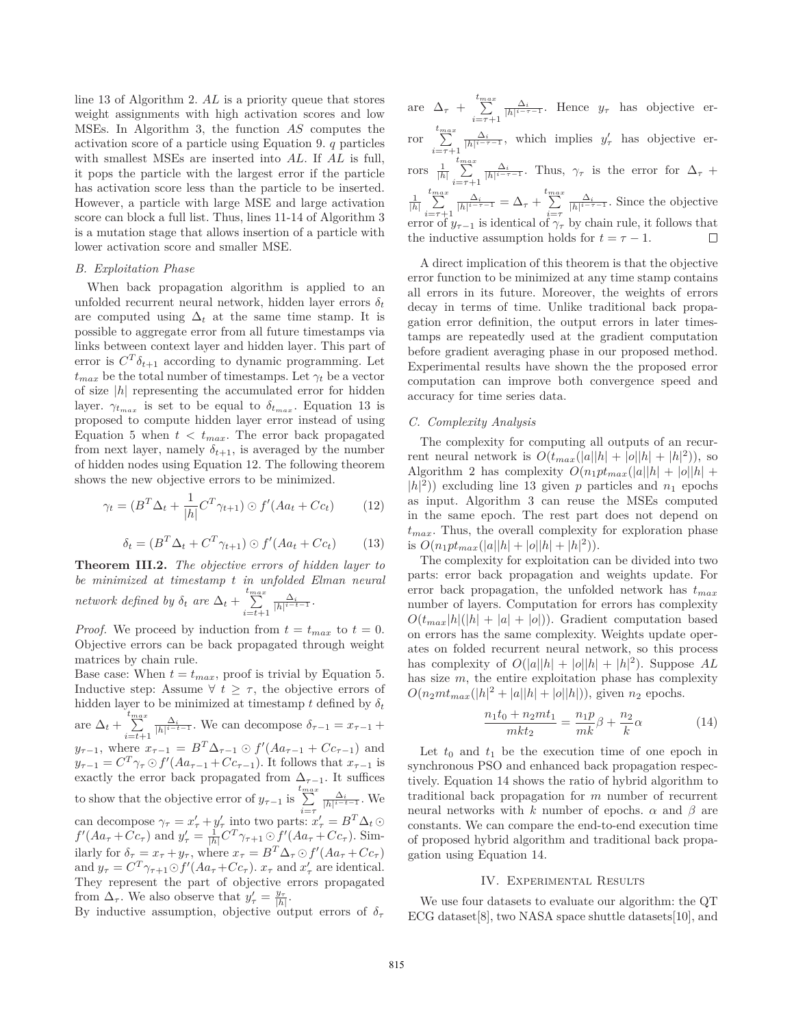line 13 of Algorithm 2. *AL* is a priority queue that stores weight assignments with high activation scores and low MSEs. In Algorithm 3, the function *AS* computes the activation score of a particle using Equation 9. *q* particles with smallest MSEs are inserted into *AL*. If *AL* is full, it pops the particle with the largest error if the particle has activation score less than the particle to be inserted. However, a particle with large MSE and large activation score can block a full list. Thus, lines 11-14 of Algorithm 3 is a mutation stage that allows insertion of a particle with lower activation score and smaller MSE.

# *B. Exploitation Phase*

When back propagation algorithm is applied to an unfolded recurrent neural network, hidden layer errors  $\delta_t$ are computed using  $\Delta_t$  at the same time stamp. It is possible to aggregate error from all future timestamps via links between context layer and hidden layer. This part of error is  $C^T \delta_{t+1}$  according to dynamic programming. Let  $t_{max}$  be the total number of timestamps. Let  $\gamma_t$  be a vector of size |*h*| representing the accumulated error for hidden layer.  $\gamma_{t_{max}}$  is set to be equal to  $\delta_{t_{max}}$ . Equation 13 is proposed to compute hidden layer error instead of using Equation 5 when  $t < t_{max}$ . The error back propagated from next layer, namely  $\delta_{t+1}$ , is averaged by the number of hidden nodes using Equation 12. The following theorem shows the new objective errors to be minimized.

$$
\gamma_t = (B^T \Delta_t + \frac{1}{|h|} C^T \gamma_{t+1}) \odot f'(Aa_t + Cc_t) \tag{12}
$$

$$
\delta_t = (B^T \Delta_t + C^T \gamma_{t+1}) \odot f'(Aa_t + Cc_t) \tag{13}
$$

**Theorem III.2.** *The objective errors of hidden layer to be minimized at timestamp t in unfolded Elman neural network defined by*  $\delta_t$  *are*  $\Delta_t + \sum_{i=t+1}^{t_{max}}$  $\frac{\Delta_i}{|h|^{i-t-1}}$ .

*Proof.* We proceed by induction from  $t = t_{max}$  to  $t = 0$ . Objective errors can be back propagated through weight matrices by chain rule.

Base case: When  $t = t_{max}$ , proof is trivial by Equation 5. Inductive step: Assume  $\forall t \geq \tau$ , the objective errors of hidden layer to be minimized at timestamp *t* defined by  $\delta_t$ are  $\Delta_t + \sum_{i=t+1}^{t_{max}}$  $\frac{\Delta_i}{|h|^{i-t-1}}$ . We can decompose  $\delta_{\tau-1} = x_{\tau-1} +$ *y*<sub>*τ*−1</sub>, where  $x_{\tau-1} = B^T \Delta_{\tau-1} \odot f'(Aa_{\tau-1} + Cc_{\tau-1})$  and  $y_{\tau-1} = C^T \gamma_{\tau} \odot f'(Aa_{\tau-1} + Cc_{\tau-1})$ . It follows that  $x_{\tau-1}$  is exactly the error back propagated from  $\Delta_{\tau-1}$ . It suffices to show that the objective error of  $y_{\tau-1}$  is  $\sum_{i=\tau}^{t_{max}}$  $\frac{\Delta_i}{|h|^{i-t-1}}$ . We can decompose  $\gamma_{\tau} = x'_{\tau} + y'_{\tau}$  into two parts:  $x'_{\tau} = B^T \Delta_t \odot$  $f'(Aa_{\tau} + Cc_{\tau})$  and  $y'_{\tau} = \frac{1}{|h|} C^{T} \gamma_{\tau+1} \text{ or } f'(Aa_{\tau} + Cc_{\tau}).$  Similarly for  $\delta_{\tau} = x_{\tau} + y_{\tau}$ , where  $x_{\tau} = B^T \Delta_{\tau} \odot f'(Aa_{\tau} + Cc_{\tau})$ and  $y_{\tau} = C^T \gamma_{\tau+1} \odot f'(Aa_{\tau} + Cc_{\tau})$ .  $x_{\tau}$  and  $x'_{\tau}$  are identical. They represent the part of objective errors propagated from  $\Delta_{\tau}$ . We also observe that  $y'_{\tau} = \frac{y_{\tau}}{|h|}$ .

By inductive assumption, objective output errors of  $\delta_{\tau}$ 

are 
$$
\Delta_{\tau} + \sum_{i=\tau+1}^{t_{max}} \frac{\Delta_i}{|h|^{i-\tau-1}}
$$
. Hence  $y_{\tau}$  has objective er-  
\nror  $\sum_{i=\tau+1}^{t_{max}} \frac{\Delta_i}{|h|^{i-\tau-1}}$ , which implies  $y'_{\tau}$  has objective er-  
\nrors  $\frac{1}{|h|} \sum_{i=\tau+1}^{t_{max}} \frac{\Delta_i}{|h|^{i-\tau-1}}$ . Thus,  $\gamma_{\tau}$  is the error for  $\Delta_{\tau}$  +  
\n $\frac{1}{|h|} \sum_{i=\tau+1}^{t_{max}} \frac{\Delta_i}{|h|^{i-\tau-1}} = \Delta_{\tau} + \sum_{i=\tau}^{t_{max}} \frac{\Delta_i}{|h|^{i-\tau-1}}$ . Since the objective  
\nerror of  $y_{\tau-1}$  is identical of  $\gamma_{\tau}$  by chain rule, it follows that  
\nthe inductive assumption holds for  $t = \tau - 1$ .

A direct implication of this theorem is that the objective error function to be minimized at any time stamp contains all errors in its future. Moreover, the weights of errors decay in terms of time. Unlike traditional back propagation error definition, the output errors in later timestamps are repeatedly used at the gradient computation before gradient averaging phase in our proposed method. Experimental results have shown the the proposed error computation can improve both convergence speed and accuracy for time series data.

## *C. Complexity Analysis*

The complexity for computing all outputs of an recurrent neural network is  $O(t_{max}(|a||h| + |o||h| + |h|^2))$ , so Algorithm 2 has complexity  $O(n_1 p t_{max}(|a||h| + |o||h| +$  $|h|^2$ )) excluding line 13 given *p* particles and *n*<sub>1</sub> epochs as input. Algorithm 3 can reuse the MSEs computed in the same epoch. The rest part does not depend on  $t_{max}$ . Thus, the overall complexity for exploration phase is  $O(n_1 p t_{max}(|a||h| + |o||h| + |h|^2)).$ 

The complexity for exploitation can be divided into two parts: error back propagation and weights update. For error back propagation, the unfolded network has *tmax* number of layers. Computation for errors has complexity  $O(t_{max}|h|(|h| + |a| + |o|))$ . Gradient computation based on errors has the same complexity. Weights update operates on folded recurrent neural network, so this process has complexity of  $O(|a||h| + |o||h| + |h|^2)$ . Suppose  $AL$ has size *m*, the entire exploitation phase has complexity  $O(n_2mt_{max}(|h|^2 + |a||h| + |o||h|))$ , given  $n_2$  epochs.

$$
\frac{n_1 t_0 + n_2 m t_1}{m k t_2} = \frac{n_1 p}{m k} \beta + \frac{n_2}{k} \alpha \tag{14}
$$

Let  $t_0$  and  $t_1$  be the execution time of one epoch in synchronous PSO and enhanced back propagation respectively. Equation 14 shows the ratio of hybrid algorithm to traditional back propagation for *m* number of recurrent neural networks with *k* number of epochs. *α* and *β* are constants. We can compare the end-to-end execution time of proposed hybrid algorithm and traditional back propagation using Equation 14.

## IV. Experimental Results

We use four datasets to evaluate our algorithm: the QT ECG dataset[8], two NASA space shuttle datasets[10], and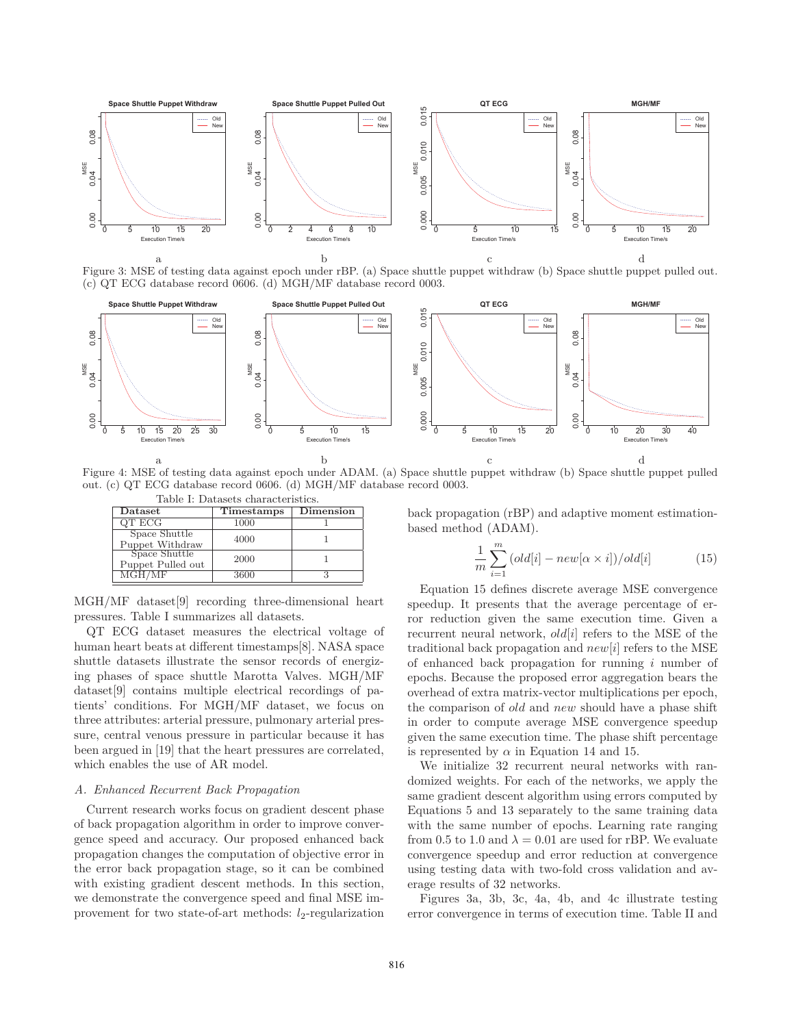

Figure 3: MSE of testing data against epoch under rBP. (a) Space shuttle puppet withdraw (b) Space shuttle puppet pulled out. (c) QT ECG database record 0606. (d) MGH/MF database record 0003.



Figure 4: MSE of testing data against epoch under ADAM. (a) Space shuttle puppet withdraw (b) Space shuttle puppet pulled out. (c) QT ECG database record 0606. (d) MGH/MF database record 0003. Table I: Datasets characteristics.

| Table 1. Datasets characteristics. |            |           |  |
|------------------------------------|------------|-----------|--|
| Dataset                            | Timestamps | Dimension |  |
| OT ECG                             | 1000       |           |  |
| Space Shuttle<br>Puppet Withdraw   | 4000       |           |  |
| Space Shuttle<br>Puppet Pulled out | 2000       |           |  |
| MGH/MF                             | 3600       |           |  |

MGH/MF dataset[9] recording three-dimensional heart pressures. Table I summarizes all datasets.

QT ECG dataset measures the electrical voltage of human heart beats at different timestamps[8]. NASA space shuttle datasets illustrate the sensor records of energizing phases of space shuttle Marotta Valves. MGH/MF dataset[9] contains multiple electrical recordings of patients' conditions. For MGH/MF dataset, we focus on three attributes: arterial pressure, pulmonary arterial pressure, central venous pressure in particular because it has been argued in [19] that the heart pressures are correlated, which enables the use of AR model.

## *A. Enhanced Recurrent Back Propagation*

Current research works focus on gradient descent phase of back propagation algorithm in order to improve convergence speed and accuracy. Our proposed enhanced back propagation changes the computation of objective error in the error back propagation stage, so it can be combined with existing gradient descent methods. In this section, we demonstrate the convergence speed and final MSE improvement for two state-of-art methods:  $l_2$ -regularization

back propagation (rBP) and adaptive moment estimationbased method (ADAM).

$$
\frac{1}{m}\sum_{i=1}^{m} (old[i] - new[\alpha \times i])/old[i] \tag{15}
$$

Equation 15 defines discrete average MSE convergence speedup. It presents that the average percentage of error reduction given the same execution time. Given a recurrent neural network, *old*[*i*] refers to the MSE of the traditional back propagation and *new*[*i*] refers to the MSE of enhanced back propagation for running *i* number of epochs. Because the proposed error aggregation bears the overhead of extra matrix-vector multiplications per epoch, the comparison of *old* and *new* should have a phase shift in order to compute average MSE convergence speedup given the same execution time. The phase shift percentage is represented by  $\alpha$  in Equation 14 and 15.

We initialize 32 recurrent neural networks with randomized weights. For each of the networks, we apply the same gradient descent algorithm using errors computed by Equations 5 and 13 separately to the same training data with the same number of epochs. Learning rate ranging from 0.5 to 1.0 and  $\lambda = 0.01$  are used for rBP. We evaluate convergence speedup and error reduction at convergence using testing data with two-fold cross validation and average results of 32 networks.

Figures 3a, 3b, 3c, 4a, 4b, and 4c illustrate testing error convergence in terms of execution time. Table II and